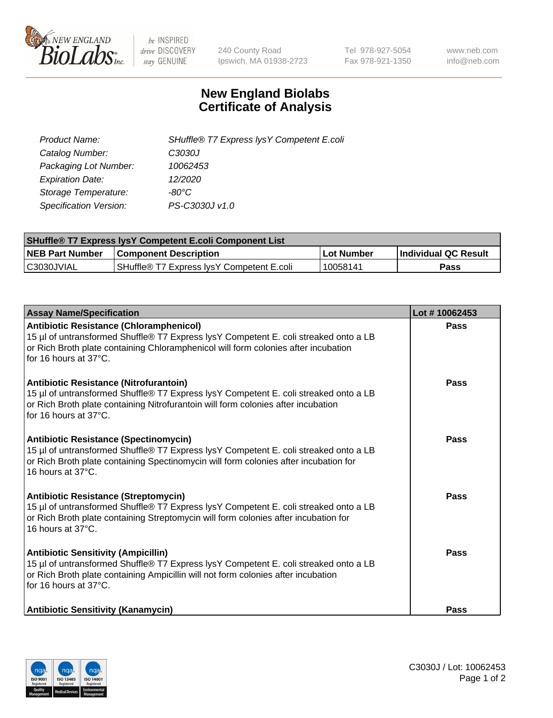

 $be$  INSPIRED drive DISCOVERY stay GENUINE

240 County Road Ipswich, MA 01938-2723 Tel 978-927-5054 Fax 978-921-1350 www.neb.com info@neb.com

## **New England Biolabs Certificate of Analysis**

| Product Name:                 | SHuffle® T7 Express lysY Competent E.coli |
|-------------------------------|-------------------------------------------|
| Catalog Number:               | C3030J                                    |
| Packaging Lot Number:         | 10062453                                  |
| <b>Expiration Date:</b>       | 12/2020                                   |
| Storage Temperature:          | -80°C                                     |
| <b>Specification Version:</b> | PS-C3030J v1.0                            |

| <b>SHuffle<sup>®</sup> T7 Express lysY Competent E.coli Component List</b> |                                           |            |                      |  |
|----------------------------------------------------------------------------|-------------------------------------------|------------|----------------------|--|
| <b>NEB Part Number</b>                                                     | <b>Component Description</b>              | Lot Number | Individual QC Result |  |
| C3030JVIAL                                                                 | SHuffle® T7 Express IvsY Competent E.coli | 10058141   | Pass                 |  |

| <b>Assay Name/Specification</b>                                                                                                                                                                                                                       | Lot #10062453 |
|-------------------------------------------------------------------------------------------------------------------------------------------------------------------------------------------------------------------------------------------------------|---------------|
| <b>Antibiotic Resistance (Chloramphenicol)</b><br>15 µl of untransformed Shuffle® T7 Express lysY Competent E. coli streaked onto a LB<br>or Rich Broth plate containing Chloramphenicol will form colonies after incubation<br>for 16 hours at 37°C. | Pass          |
| Antibiotic Resistance (Nitrofurantoin)<br>15 µl of untransformed Shuffle® T7 Express lysY Competent E. coli streaked onto a LB<br>or Rich Broth plate containing Nitrofurantoin will form colonies after incubation<br>for 16 hours at 37°C.          | Pass          |
| <b>Antibiotic Resistance (Spectinomycin)</b><br>15 µl of untransformed Shuffle® T7 Express lysY Competent E. coli streaked onto a LB<br>or Rich Broth plate containing Spectinomycin will form colonies after incubation for<br>16 hours at 37°C.     | <b>Pass</b>   |
| Antibiotic Resistance (Streptomycin)<br>15 µl of untransformed Shuffle® T7 Express lysY Competent E. coli streaked onto a LB<br>or Rich Broth plate containing Streptomycin will form colonies after incubation for<br>16 hours at 37°C.              | Pass          |
| <b>Antibiotic Sensitivity (Ampicillin)</b><br>15 µl of untransformed Shuffle® T7 Express lysY Competent E. coli streaked onto a LB<br>or Rich Broth plate containing Ampicillin will not form colonies after incubation<br>for 16 hours at 37°C.      | <b>Pass</b>   |
| <b>Antibiotic Sensitivity (Kanamycin)</b>                                                                                                                                                                                                             | Pass          |